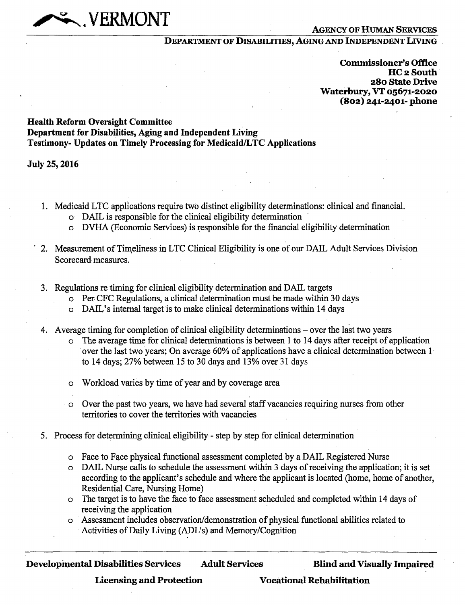## **AGENCY OF HUMAN SERVICES**

## **DEPARTMENT OF DISABILITIES, AGING AND INDEPENDENT LIVING**

**Commissioner's Office HC 2 South 280 State Drive Waterbury, VT o5671-2o2o (802) 241-2401- phone** 

## **Health Reform Oversight Committee Department for Disabilities, Aging and Independent Living Testimony- Updates on Timely Processing for Medicaid/LTC Applications**

**dieh"470.-N, VERMONT** 

**July 25, 2016** 

- 1. Medicaid LTC applications require two distinct eligibility determinations: clinical and financial.
	- o DAIL is responsible for the clinical eligibility determination
	- o DVHA (Economic Services) is responsible for the financial eligibility determination
- 2. Measurement of Timeliness in LTC Clinical Eligibility is one of our DAIL Adult Services Division Scorecard measures.
- 3. Regulations re timing for clinical eligibility determination and DAIL targets
	- o Per CFC Regulations, a clinical determination must be made within 30 days
	- o DAIL's internal target is to make clinical determinations within 14 days
- 4. Average timing for completion of clinical eligibility determinations over the last two years
	- The average time for clinical determinations is between 1 to 14 days after receipt of application over the last two years; On average 60% of applications have a clinical determination between 1 to 14 days; 27% between 15 to 30 days and 13% over 31 days
	- o Workload varies by time of year and by coverage area
	- o Over the past two years, we have had several staff vacancies requiring nurses from other territories to cover the territories with vacancies
- 5. Process for determining clinical eligibility step by step for clinical determination
	- o Face to Face physical functional assessment completed by a DAIL Registered Nurse
	- o DAIL Nurse calls to schedule the assessment within 3 days of receiving the application; it is set according to the applicant's schedule and where the applicant is located (home, home of another, Residential Care, Nursing Home)
	- o The target is to have the face to face assessment scheduled and completed within 14 days of receiving the application
	- o Assessment includes observation/demonstration of physical functional abilities related to Activities of Daily Living (ADL's) and Memory/Cognition

**Licensing and Protection Vocational Rehabilitation**